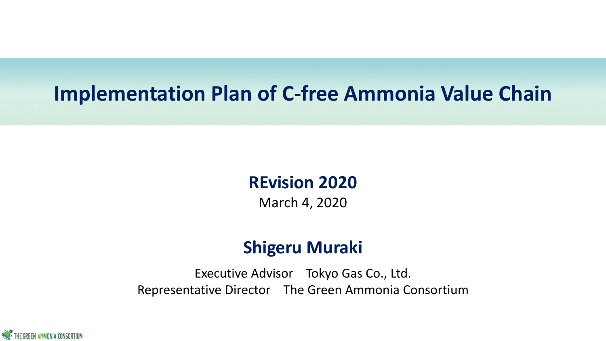## **Implementation Plan of C-free Ammonia Value Chain**

### **REvision 2020** March 4, 2020

### **Shigeru Muraki**

Executive Advisor Tokyo Gas Co., Ltd. Representative Director The Green Ammonia Consortium

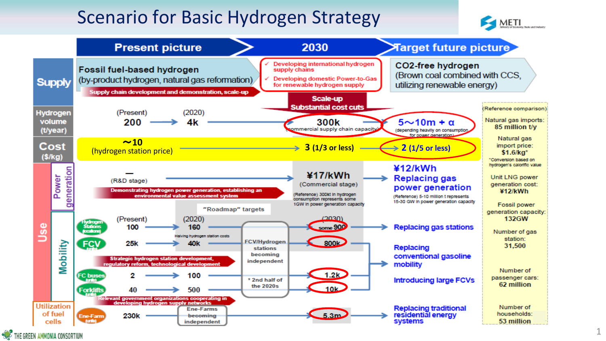### Scenario for Basic Hydrogen Strategy





THE GREEN AMMONIA CONSORTIUM

1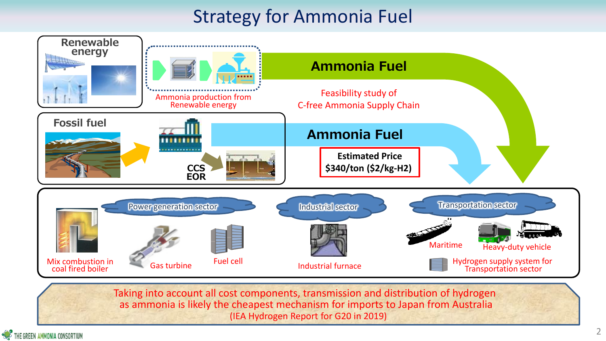## Strategy for Ammonia Fuel



Taking into account all cost components, transmission and distribution of hydrogen as ammonia is likely the cheapest mechanism for imports to Japan from Australia (IEA Hydrogen Report for G20 in 2019)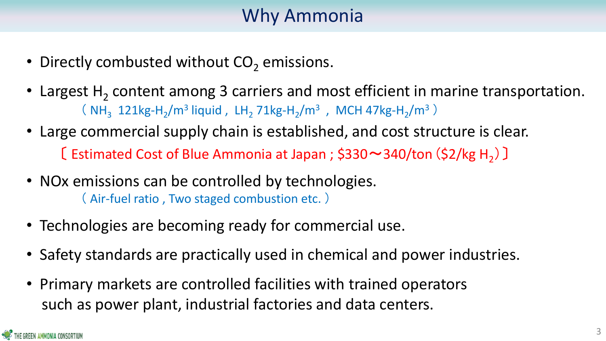## Why Ammonia

- Directly combusted without  $CO<sub>2</sub>$  emissions.
- Largest  $H_2$  content among 3 carriers and most efficient in marine transportation. ( $NH_3$  121kg-H<sub>2</sub>/m<sup>3</sup> liquid, LH<sub>2</sub> 71kg-H<sub>2</sub>/m<sup>3</sup>, MCH 47kg-H<sub>2</sub>/m<sup>3</sup>)
- Large commercial supply chain is established, and cost structure is clear. [ Estimated Cost of Blue Ammonia at Japan ;  $$330~$   $\sim$  340/ton ( $$2$ /kg H<sub>2</sub>)]
- NOx emissions can be controlled by technologies. ( Air-fuel ratio , Two staged combustion etc. )
- Technologies are becoming ready for commercial use.
- Safety standards are practically used in chemical and power industries.
- Primary markets are controlled facilities with trained operators such as power plant, industrial factories and data centers.

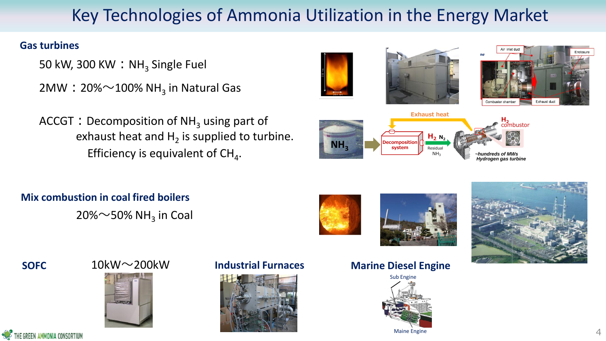### Key Technologies of Ammonia Utilization in the Energy Market

50 kW, 300 KW  $:$  NH<sub>3</sub> Single Fuel

- $2\textsf{MW}: 20\%{\sim}100\%$  NH<sub>3</sub> in Natural Gas
- ACCGT: Decomposition of  $NH<sub>3</sub>$  using part of exhaust heat and  $H_2$  is supplied to turbine. Efficiency is equivalent of  $\text{CH}_4$ .

### **Mix combustion in coal fired boilers**

 $20\%$  $\sim$ 50% NH<sub>3</sub> in Coal













EEN AMMONIA CONSORTIUN

# $10$ kW $\sim$ 200kW



### **SOFC** 10kW $\sim$ 200kW Industrial Furnaces



### **Marine Diesel Engine**